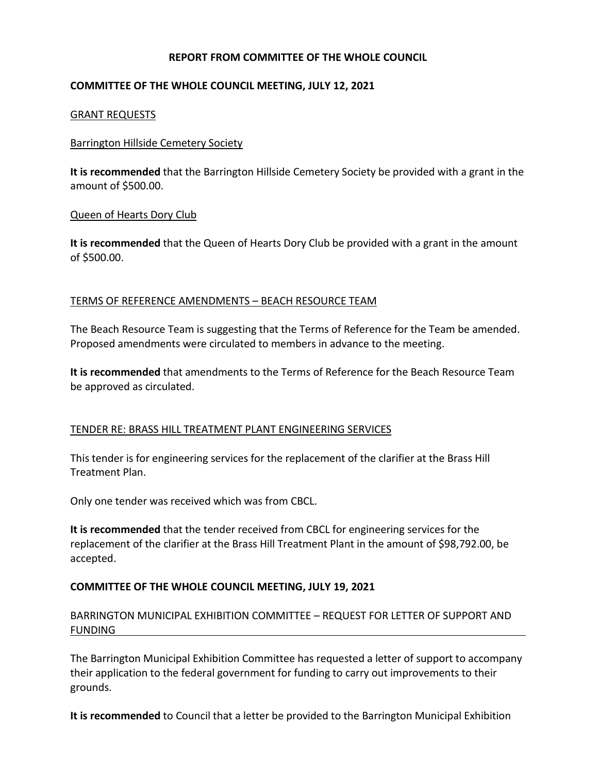# **REPORT FROM COMMITTEE OF THE WHOLE COUNCIL**

# **COMMITTEE OF THE WHOLE COUNCIL MEETING, JULY 12, 2021**

### GRANT REQUESTS

#### Barrington Hillside Cemetery Society

**It is recommended** that the Barrington Hillside Cemetery Society be provided with a grant in the amount of \$500.00.

#### Queen of Hearts Dory Club

**It is recommended** that the Queen of Hearts Dory Club be provided with a grant in the amount of \$500.00.

#### TERMS OF REFERENCE AMENDMENTS – BEACH RESOURCE TEAM

The Beach Resource Team is suggesting that the Terms of Reference for the Team be amended. Proposed amendments were circulated to members in advance to the meeting.

**It is recommended** that amendments to the Terms of Reference for the Beach Resource Team be approved as circulated.

## TENDER RE: BRASS HILL TREATMENT PLANT ENGINEERING SERVICES

This tender is for engineering services for the replacement of the clarifier at the Brass Hill Treatment Plan.

Only one tender was received which was from CBCL.

**It is recommended** that the tender received from CBCL for engineering services for the replacement of the clarifier at the Brass Hill Treatment Plant in the amount of \$98,792.00, be accepted.

## **COMMITTEE OF THE WHOLE COUNCIL MEETING, JULY 19, 2021**

BARRINGTON MUNICIPAL EXHIBITION COMMITTEE – REQUEST FOR LETTER OF SUPPORT AND FUNDING

The Barrington Municipal Exhibition Committee has requested a letter of support to accompany their application to the federal government for funding to carry out improvements to their grounds.

**It is recommended** to Council that a letter be provided to the Barrington Municipal Exhibition